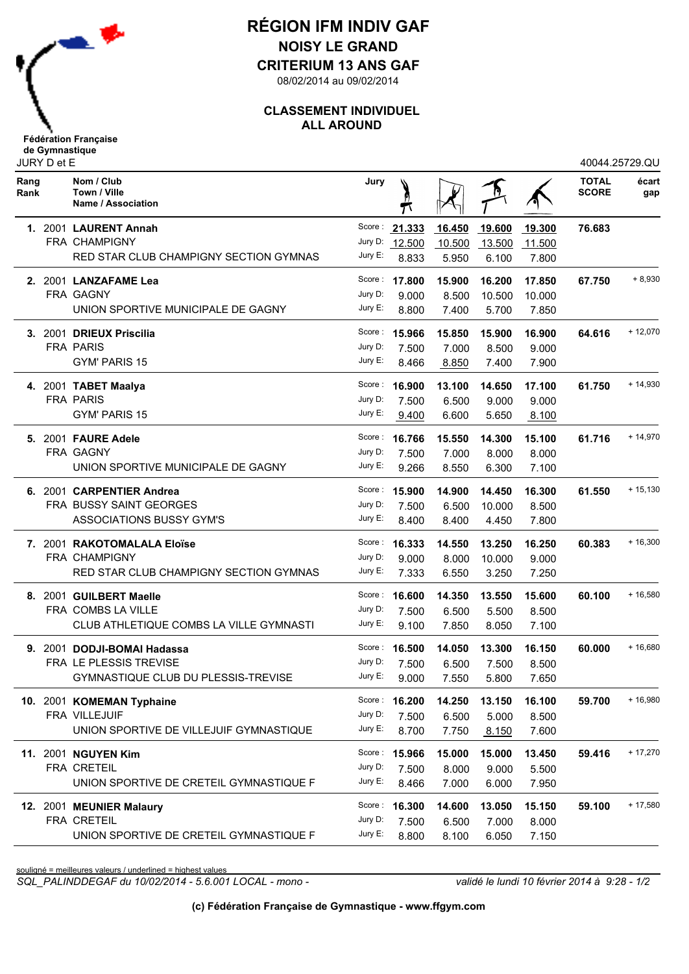

## **RÉGION IFM INDIV GAF NOISY LE GRAND**

**CRITERIUM 13 ANS GAF**

08/02/2014 au 09/02/2014

## **CLASSEMENT INDIVIDUEL ALL AROUND**

| Rang<br>Rank | Nom / Club<br>Town / Ville<br>Name / Association | Jury    | π             |        |        |        | <b>TOTAL</b><br><b>SCORE</b> | écart<br>gap |
|--------------|--------------------------------------------------|---------|---------------|--------|--------|--------|------------------------------|--------------|
|              | 1. 2001 LAURENT Annah                            |         | Score: 21.333 | 16.450 | 19.600 | 19.300 | 76.683                       |              |
|              | FRA CHAMPIGNY                                    | Jury D: | 12.500        | 10.500 | 13.500 | 11.500 |                              |              |
|              | RED STAR CLUB CHAMPIGNY SECTION GYMNAS           | Jury E: | 8.833         | 5.950  | 6.100  | 7.800  |                              |              |
|              | 2. 2001 LANZAFAME Lea                            | Score : | 17.800        | 15.900 | 16.200 | 17.850 | 67.750                       | $+8,930$     |
|              | FRA GAGNY                                        | Jury D: | 9.000         | 8.500  | 10.500 | 10.000 |                              |              |
|              | UNION SPORTIVE MUNICIPALE DE GAGNY               | Jury E: | 8.800         | 7.400  | 5.700  | 7.850  |                              |              |
|              | 3. 2001 DRIEUX Priscilia                         | Score : | 15.966        | 15.850 | 15.900 | 16.900 | 64.616                       | $+12,070$    |
|              | <b>FRA PARIS</b>                                 | Jury D: | 7.500         | 7.000  | 8.500  | 9.000  |                              |              |
|              | GYM' PARIS 15                                    | Jury E: | 8.466         | 8.850  | 7.400  | 7.900  |                              |              |
|              | 4. 2001 TABET Maalya                             | Score : | 16.900        | 13.100 | 14.650 | 17.100 | 61.750                       | $+14,930$    |
|              | <b>FRA PARIS</b>                                 | Jury D: | 7.500         | 6.500  | 9.000  | 9.000  |                              |              |
|              | <b>GYM' PARIS 15</b>                             | Jury E: | 9.400         | 6.600  | 5.650  | 8.100  |                              |              |
|              | 5. 2001 FAURE Adele                              | Score : | 16.766        | 15.550 | 14.300 | 15.100 | 61.716                       | $+14,970$    |
|              | FRA GAGNY                                        | Jury D: | 7.500         | 7.000  | 8.000  | 8.000  |                              |              |
|              | UNION SPORTIVE MUNICIPALE DE GAGNY               | Jury E: | 9.266         | 8.550  | 6.300  | 7.100  |                              |              |
|              | 6. 2001 CARPENTIER Andrea                        | Score : | 15.900        | 14.900 | 14.450 | 16.300 | 61.550                       | $+15,130$    |
|              | FRA BUSSY SAINT GEORGES                          | Jury D: | 7.500         | 6.500  | 10.000 | 8.500  |                              |              |
|              | <b>ASSOCIATIONS BUSSY GYM'S</b>                  | Jury E: | 8.400         | 8.400  | 4.450  | 7.800  |                              |              |
|              | 7. 2001 RAKOTOMALALA Eloïse                      | Score : | 16.333        | 14.550 | 13.250 | 16.250 | 60.383                       | $+16,300$    |
|              | FRA CHAMPIGNY                                    | Jury D: | 9.000         | 8.000  | 10.000 | 9.000  |                              |              |
|              | RED STAR CLUB CHAMPIGNY SECTION GYMNAS           | Jury E: | 7.333         | 6.550  | 3.250  | 7.250  |                              |              |
|              | 8. 2001 GUILBERT Maelle                          | Score : | 16.600        | 14.350 | 13.550 | 15.600 | 60.100                       | $+16,580$    |
|              | FRA COMBS LA VILLE                               | Jury D: | 7.500         | 6.500  | 5.500  | 8.500  |                              |              |
|              | CLUB ATHLETIQUE COMBS LA VILLE GYMNASTI          | Jury E: | 9.100         | 7.850  | 8.050  | 7.100  |                              |              |
|              | 9. 2001 DODJI-BOMAI Hadassa                      | Score : | 16.500        | 14.050 | 13.300 | 16.150 | 60.000                       | $+16,680$    |
|              | FRA LE PLESSIS TREVISE                           | Jury D: | 7.500         | 6.500  | 7.500  | 8.500  |                              |              |
|              | <b>GYMNASTIQUE CLUB DU PLESSIS-TREVISE</b>       | Jury E: | 9.000         | 7.550  | 5.800  | 7.650  |                              |              |
|              | 10. 2001 KOMEMAN Typhaine                        |         | Score: 16.200 | 14.250 | 13.150 | 16.100 | 59.700                       | $+16,980$    |
|              | FRA VILLEJUIF                                    | Jury D: | 7.500         | 6.500  | 5.000  | 8.500  |                              |              |
|              | UNION SPORTIVE DE VILLEJUIF GYMNASTIQUE          | Jury E: | 8.700         | 7.750  | 8.150  | 7.600  |                              |              |
|              | 11. 2001 NGUYEN Kim                              |         | Score: 15.966 | 15.000 | 15.000 | 13.450 | 59.416                       | $+17,270$    |
|              | FRA CRETEIL                                      | Jury D: | 7.500         | 8.000  | 9.000  | 5.500  |                              |              |
|              | UNION SPORTIVE DE CRETEIL GYMNASTIQUE F          | Jury E: | 8.466         | 7.000  | 6.000  | 7.950  |                              |              |
|              | 12. 2001 MEUNIER Malaury                         |         | Score: 16.300 | 14.600 | 13.050 | 15.150 | 59.100                       | $+17,580$    |
|              | FRA CRETEIL                                      | Jury D: | 7.500         | 6.500  | 7.000  | 8.000  |                              |              |
|              | UNION SPORTIVE DE CRETEIL GYMNASTIQUE F          | Jury E: | 8.800         | 8.100  | 6.050  | 7.150  |                              |              |

souligné = meilleures valeurs / underlined = highest values

*SQL\_PALINDDEGAF du 10/02/2014 - 5.6.001 LOCAL - mono - validé le lundi 10 février 2014 à 9:28 - 1/2*

40044.25729.QU